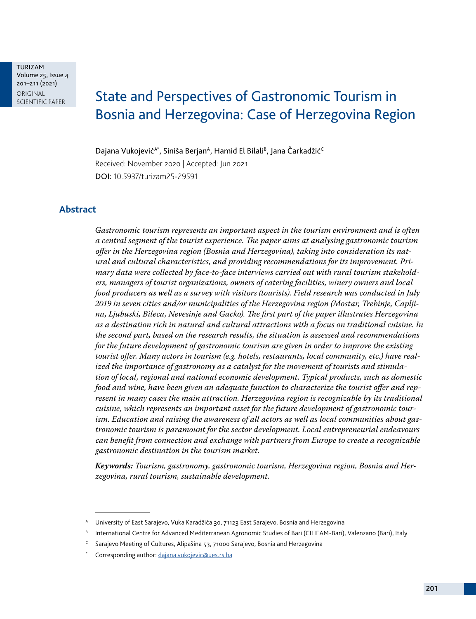TURIZAM Volume 25, Issue 4 201–211 (2021) ORIGINAL<br>SCIENTIFIC PAPER

# State and Perspectives of Gastronomic Tourism in Bosnia and Herzegovina: Case of Herzegovina Region

Dajana Vukojević<sup>A\*</sup>, Siniša Berjan<sup>A</sup>, Hamid El Bilali<sup>B</sup>, Jana Čarkadžić<sup>C</sup> Received: November 2020 | Accepted: Jun 2021 DOI: 10.5937/turizam25-29591

#### **Abstract**

*Gastronomic tourism represents an important aspect in the tourism environment and is often a central segment of the tourist experience. The paper aims at analysing gastronomic tourism offer in the Herzegovina region (Bosnia and Herzegovina), taking into consideration its natural and cultural characteristics, and providing recommendations for its improvement. Primary data were collected by face-to-face interviews carried out with rural tourism stakeholders, managers of tourist organizations, owners of catering facilities, winery owners and local food producers as well as a survey with visitors (tourists). Field research was conducted in July 2019 in seven cities and/or municipalities of the Herzegovina region (Mostar, Trebinje, Capljina, Ljubuski, Bileca, Nevesinje and Gacko). The first part of the paper illustrates Herzegovina as a destination rich in natural and cultural attractions with a focus on traditional cuisine. In the second part, based on the research results, the situation is assessed and recommendations for the future development of gastronomic tourism are given in order to improve the existing tourist offer. Many actors in tourism (e.g. hotels, restaurants, local community, etc.) have realized the importance of gastronomy as a catalyst for the movement of tourists and stimulation of local, regional and national economic development. Typical products, such as domestic food and wine, have been given an adequate function to characterize the tourist offer and represent in many cases the main attraction. Herzegovina region is recognizable by its traditional cuisine, which represents an important asset for the future development of gastronomic tourism. Education and raising the awareness of all actors as well as local communities about gastronomic tourism is paramount for the sector development. Local entrepreneurial endeavours can benefit from connection and exchange with partners from Europe to create a recognizable gastronomic destination in the tourism market.* 

*Keywords: Tourism, gastronomy, gastronomic tourism, Herzegovina region, Bosnia and Herzegovina, rural tourism, sustainable development.*

University of East Sarajevo, Vuka Karadžića 30, 71123 East Sarajevo, Bosnia and Herzegovina

<sup>B</sup> International Centre for Advanced Mediterranean Agronomic Studies of Bari (CIHEAM-Bari), Valenzano (Bari), Italy

Sarajevo Meeting of Cultures, Alipašina 53, 71000 Sarajevo, Bosnia and Herzegovina

Corresponding author: [dajana.vukojevic@ues.rs.ba](mailto:dajana.vukojevic%40ues.rs.ba?subject=)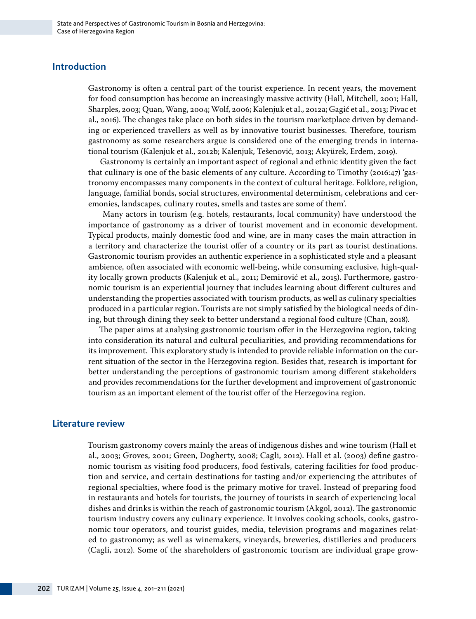## **Introduction**

Gastronomy is often a central part of the tourist experience. In recent years, the movement for food consumption has become an increasingly massive activity (Hall, Mitchell, 2001; Hall, Sharples, 2003; Quan, Wang, 2004; Wolf, 2006; Kalenjuk et al., 2012a; Gagić et al., 2013; Pivac et al., 2016). The changes take place on both sides in the tourism marketplace driven by demanding or experienced travellers as well as by innovative tourist businesses. Therefore, tourism gastronomy as some researchers argue is considered one of the emerging trends in international tourism (Kalenjuk et al., 2012b; Kalenjuk, Tešenović, 2013; Akyürek, Erdem, 2019).

Gastronomy is certainly an important aspect of regional and ethnic identity given the fact that culinary is one of the basic elements of any culture. According to Timothy (2016:47) 'gastronomy encompasses many components in the context of cultural heritage. Folklore, religion, language, familial bonds, social structures, environmental determinism, celebrations and ceremonies, landscapes, culinary routes, smells and tastes are some of them'.

 Many actors in tourism (e.g. hotels, restaurants, local community) have understood the importance of gastronomy as a driver of tourist movement and in economic development. Typical products, mainly domestic food and wine, are in many cases the main attraction in a territory and characterize the tourist offer of a country or its part as tourist destinations. Gastronomic tourism provides an authentic experience in a sophisticated style and a pleasant ambience, often associated with economic well-being, while consuming exclusive, high-quality locally grown products (Kalenjuk et al., 2011; Demirović et al., 2015). Furthermore, gastronomic tourism is an experiential journey that includes learning about different cultures and understanding the properties associated with tourism products, as well as culinary specialties produced in a particular region. Tourists are not simply satisfied by the biological needs of dining, but through dining they seek to better understand a regional food culture (Chan, 2018).

The paper aims at analysing gastronomic tourism offer in the Herzegovina region, taking into consideration its natural and cultural peculiarities, and providing recommendations for its improvement. This exploratory study is intended to provide reliable information on the current situation of the sector in the Herzegovina region. Besides that, research is important for better understanding the perceptions of gastronomic tourism among different stakeholders and provides recommendations for the further development and improvement of gastronomic tourism as an important element of the tourist offer of the Herzegovina region.

### **Literature review**

Tourism gastronomy covers mainly the areas of indigenous dishes and wine tourism (Hall et al., 2003; Groves, 2001; Green, Dogherty, 2008; Cagli, 2012). Hall et al. (2003) define gastronomic tourism as visiting food producers, food festivals, catering facilities for food production and service, and certain destinations for tasting and/or experiencing the attributes of regional specialties, where food is the primary motive for travel. Instead of preparing food in restaurants and hotels for tourists, the journey of tourists in search of experiencing local dishes and drinks is within the reach of gastronomic tourism (Akgol, 2012). The gastronomic tourism industry covers any culinary experience. It involves cooking schools, cooks, gastronomic tour operators, and tourist guides, media, television programs and magazines related to gastronomy; as well as winemakers, vineyards, breweries, distilleries and producers (Cagli, 2012). Some of the shareholders of gastronomic tourism are individual grape grow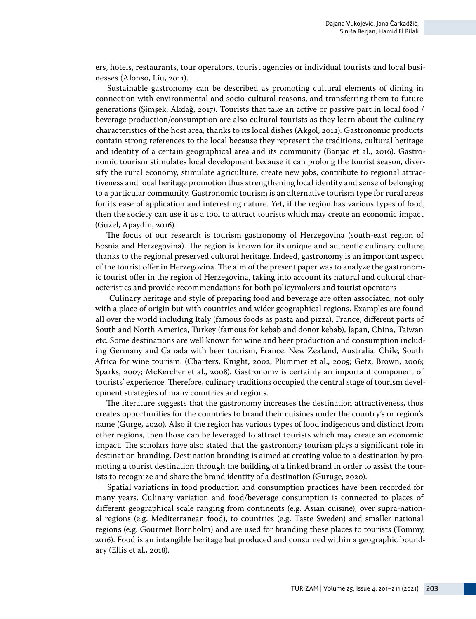ers, hotels, restaurants, tour operators, tourist agencies or individual tourists and local businesses (Alonso, Liu, 2011).

Sustainable gastronomy can be described as promoting cultural elements of dining in connection with environmental and socio-cultural reasons, and transferring them to future generations (Şimşek, Akdağ, 2017). Tourists that take an active or passive part in local food / beverage production/consumption are also cultural tourists as they learn about the culinary characteristics of the host area, thanks to its local dishes (Akgol, 2012). Gastronomic products contain strong references to the local because they represent the traditions, cultural heritage and identity of a certain geographical area and its community (Banjac et al., 2016). Gastronomic tourism stimulates local development because it can prolong the tourist season, diversify the rural economy, stimulate agriculture, create new jobs, contribute to regional attractiveness and local heritage promotion thus strengthening local identity and sense of belonging to a particular community. Gastronomic tourism is an alternative tourism type for rural areas for its ease of application and interesting nature. Yet, if the region has various types of food, then the society can use it as a tool to attract tourists which may create an economic impact (Guzel, Apaydin, 2016).

The focus of our research is tourism gastronomy of Herzegovina (south-east region of Bosnia and Herzegovina). The region is known for its unique and authentic culinary culture, thanks to the regional preserved cultural heritage. Indeed, gastronomy is an important aspect of the tourist offer in Herzegovina. The aim of the present paper was to analyze the gastronomic tourist offer in the region of Herzegovina, taking into account its natural and cultural characteristics and provide recommendations for both policymakers and tourist operators

 Culinary heritage and style of preparing food and beverage are often associated, not only with a place of origin but with countries and wider geographical regions. Examples are found all over the world including Italy (famous foods as pasta and pizza), France, different parts of South and North America, Turkey (famous for kebab and donor kebab), Japan, China, Taiwan etc. Some destinations are well known for wine and beer production and consumption including Germany and Canada with beer tourism, France, New Zealand, Australia, Chile, South Africa for wine tourism. (Charters, Knight, 2002; Plummer et al., 2005; Getz, Brown, 2006; Sparks, 2007; McKercher et al., 2008). Gastronomy is certainly an important component of tourists' experience. Therefore, culinary traditions occupied the central stage of tourism development strategies of many countries and regions.

The literature suggests that the gastronomy increases the destination attractiveness, thus creates opportunities for the countries to brand their cuisines under the country's or region's name (Gurge, 2020). Also if the region has various types of food indigenous and distinct from other regions, then those can be leveraged to attract tourists which may create an economic impact. The scholars have also stated that the gastronomy tourism plays a significant role in destination branding. Destination branding is aimed at creating value to a destination by promoting a tourist destination through the building of a linked brand in order to assist the tourists to recognize and share the brand identity of a destination (Guruge, 2020).

Spatial variations in food production and consumption practices have been recorded for many years. Culinary variation and food/beverage consumption is connected to places of different geographical scale ranging from continents (e.g. Asian cuisine), over supra-national regions (e.g. Mediterranean food), to countries (e.g. Taste Sweden) and smaller national regions (e.g. Gourmet Bornholm) and are used for branding these places to tourists (Tommy, 2016). Food is an intangible heritage but produced and consumed within a geographic boundary (Ellis et al., 2018).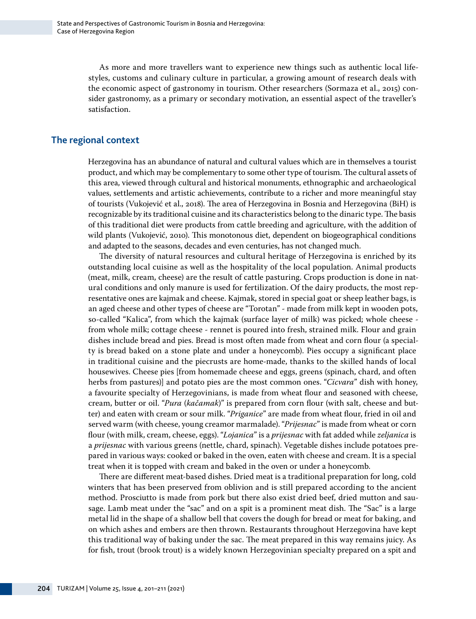As more and more travellers want to experience new things such as authentic local lifestyles, customs and culinary culture in particular, a growing amount of research deals with the economic aspect of gastronomy in tourism. Other researchers (Sormaza et al., 2015) consider gastronomy, as a primary or secondary motivation, an essential aspect of the traveller's satisfaction.

## **The regional context**

Herzegovina has an abundance of natural and cultural values which are in themselves a tourist product, and which may be complementary to some other type of tourism. The cultural assets of this area, viewed through cultural and historical monuments, ethnographic and archaeological values, settlements and artistic achievements, contribute to a richer and more meaningful stay of tourists (Vukojević et al., 2018). The area of Herzegovina in Bosnia and Herzegovina (BiH) is recognizable by its traditional cuisine and its characteristics belong to the dinaric type. The basis of this traditional diet were products from cattle breeding and agriculture, with the addition of wild plants (Vukojević, 2010). This monotonous diet, dependent on biogeographical conditions and adapted to the seasons, decades and even centuries, has not changed much.

The diversity of natural resources and cultural heritage of Herzegovina is enriched by its outstanding local cuisine as well as the hospitality of the local population. Animal products (meat, milk, cream, cheese) are the result of cattle pasturing. Crops production is done in natural conditions and only manure is used for fertilization. Of the dairy products, the most representative ones are kajmak and cheese. Kajmak, stored in special goat or sheep leather bags, is an aged cheese and other types of cheese are "Torotan" - made from milk kept in wooden pots, so-called "Kalica", from which the kajmak (surface layer of milk) was picked; whole cheese from whole milk; cottage cheese - rennet is poured into fresh, strained milk. Flour and grain dishes include bread and pies. Bread is most often made from wheat and corn flour (a specialty is bread baked on a stone plate and under a honeycomb). Pies occupy a significant place in traditional cuisine and the piecrusts are home-made, thanks to the skilled hands of local housewives. Cheese pies [from homemade cheese and eggs, greens (spinach, chard, and often herbs from pastures)] and potato pies are the most common ones. "*Cicvara*" dish with honey, a favourite specialty of Herzegovinians, is made from wheat flour and seasoned with cheese, cream, butter or oil. "*Pura* (*kačamak*)" is prepared from corn flour (with salt, cheese and butter) and eaten with cream or sour milk. "*Priganice*" are made from wheat flour, fried in oil and served warm (with cheese, young creamor marmalade). "*Prijesnac*" is made from wheat or corn flour (with milk, cream, cheese, eggs). "*Lojanica*" is a *prijesnac* with fat added while *zeljanica* is a *prijesnac* with various greens (nettle, chard, spinach). Vegetable dishes include potatoes prepared in various ways: cooked or baked in the oven, eaten with cheese and cream. It is a special treat when it is topped with cream and baked in the oven or under a honeycomb.

There are different meat-based dishes. Dried meat is a traditional preparation for long, cold winters that has been preserved from oblivion and is still prepared according to the ancient method. Prosciutto is made from pork but there also exist dried beef, dried mutton and sausage. Lamb meat under the "sac" and on a spit is a prominent meat dish. The "Sac" is a large metal lid in the shape of a shallow bell that covers the dough for bread or meat for baking, and on which ashes and embers are then thrown. Restaurants throughout Herzegovina have kept this traditional way of baking under the sac. The meat prepared in this way remains juicy. As for fish, trout (brook trout) is a widely known Herzegovinian specialty prepared on a spit and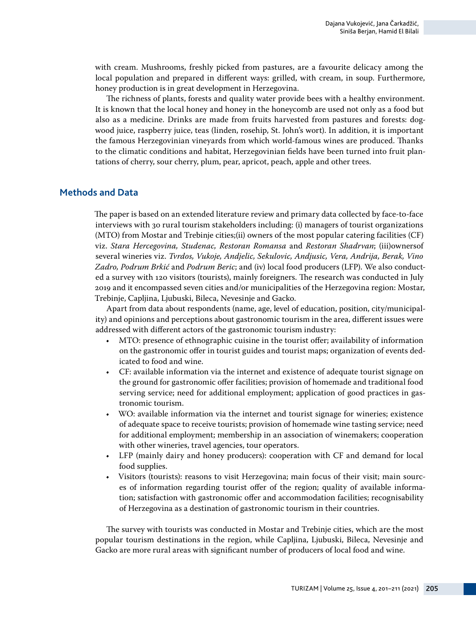with cream. Mushrooms, freshly picked from pastures, are a favourite delicacy among the local population and prepared in different ways: grilled, with cream, in soup. Furthermore, honey production is in great development in Herzegovina.

The richness of plants, forests and quality water provide bees with a healthy environment. It is known that the local honey and honey in the honeycomb are used not only as a food but also as a medicine. Drinks are made from fruits harvested from pastures and forests: dogwood juice, raspberry juice, teas (linden, rosehip, St. John's wort). In addition, it is important the famous Herzegovinian vineyards from which world-famous wines are produced. Thanks to the climatic conditions and habitat, Herzegovinian fields have been turned into fruit plantations of cherry, sour cherry, plum, pear, apricot, peach, apple and other trees.

## **Methods and Data**

The paper is based on an extended literature review and primary data collected by face-to-face interviews with 30 rural tourism stakeholders including: (i) managers of tourist organizations (MTO) from Mostar and Trebinje cities;(ii) owners of the most popular catering facilities (CF) viz. *Stara Hercegovina, Studenac, Restoran Romansa* and *Restoran Shadrvan*; (iii)ownersof several wineries viz. *Tvrdos, Vukoje, Andjelic, Sekulovic, Andjusic, Vera, Andrija, Berak, Vino Zadro, Podrum Brkić* and *Podrum Beric*; and (iv) local food producers (LFP). We also conducted a survey with 120 visitors (tourists), mainly foreigners. The research was conducted in July 2019 and it encompassed seven cities and/or municipalities of the Herzegovina region: Mostar, Trebinje, Capljina, Ljubuski, Bileca, Nevesinje and Gacko.

Apart from data about respondents (name, age, level of education, position, city/municipality) and opinions and perceptions about gastronomic tourism in the area, different issues were addressed with different actors of the gastronomic tourism industry:

- MTO: presence of ethnographic cuisine in the tourist offer; availability of information on the gastronomic offer in tourist guides and tourist maps; organization of events dedicated to food and wine.
- CF: available information via the internet and existence of adequate tourist signage on the ground for gastronomic offer facilities; provision of homemade and traditional food serving service; need for additional employment; application of good practices in gastronomic tourism.
- WO: available information via the internet and tourist signage for wineries; existence of adequate space to receive tourists; provision of homemade wine tasting service; need for additional employment; membership in an association of winemakers; cooperation with other wineries, travel agencies, tour operators.
- LFP (mainly dairy and honey producers): cooperation with CF and demand for local food supplies.
- Visitors (tourists): reasons to visit Herzegovina; main focus of their visit; main sources of information regarding tourist offer of the region; quality of available information; satisfaction with gastronomic offer and accommodation facilities; recognisability of Herzegovina as a destination of gastronomic tourism in their countries.

The survey with tourists was conducted in Mostar and Trebinje cities, which are the most popular tourism destinations in the region, while Capljina, Ljubuski, Bileca, Nevesinje and Gacko are more rural areas with significant number of producers of local food and wine.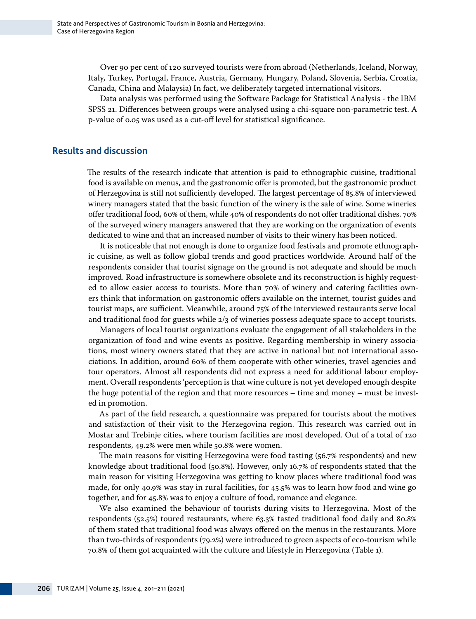Over 90 per cent of 120 surveyed tourists were from abroad (Netherlands, Iceland, Norway, Italy, Turkey, Portugal, France, Austria, Germany, Hungary, Poland, Slovenia, Serbia, Croatia, Canada, China and Malaysia) In fact, we deliberately targeted international visitors.

Data analysis was performed using the Software Package for Statistical Analysis - the IBM SPSS 21. Differences between groups were analysed using a chi-square non-parametric test. A p-value of 0.05 was used as a cut-off level for statistical significance.

#### **Results and discussion**

The results of the research indicate that attention is paid to ethnographic cuisine, traditional food is available on menus, and the gastronomic offer is promoted, but the gastronomic product of Herzegovina is still not sufficiently developed. The largest percentage of 85.8% of interviewed winery managers stated that the basic function of the winery is the sale of wine. Some wineries offer traditional food, 60% of them, while 40% of respondents do not offer traditional dishes. 70% of the surveyed winery managers answered that they are working on the organization of events dedicated to wine and that an increased number of visits to their winery has been noticed.

It is noticeable that not enough is done to organize food festivals and promote ethnographic cuisine, as well as follow global trends and good practices worldwide. Around half of the respondents consider that tourist signage on the ground is not adequate and should be much improved. Road infrastructure is somewhere obsolete and its reconstruction is highly requested to allow easier access to tourists. More than 70% of winery and catering facilities owners think that information on gastronomic offers available on the internet, tourist guides and tourist maps, are sufficient. Meanwhile, around 75% of the interviewed restaurants serve local and traditional food for guests while 2/3 of wineries possess adequate space to accept tourists.

Managers of local tourist organizations evaluate the engagement of all stakeholders in the organization of food and wine events as positive. Regarding membership in winery associations, most winery owners stated that they are active in national but not international associations. In addition, around 60% of them cooperate with other wineries, travel agencies and tour operators. Almost all respondents did not express a need for additional labour employment. Overall respondents 'perception is that wine culture is not yet developed enough despite the huge potential of the region and that more resources – time and money – must be invested in promotion.

As part of the field research, a questionnaire was prepared for tourists about the motives and satisfaction of their visit to the Herzegovina region. This research was carried out in Mostar and Trebinje cities, where tourism facilities are most developed. Out of a total of 120 respondents, 49.2% were men while 50.8% were women.

The main reasons for visiting Herzegovina were food tasting (56.7% respondents) and new knowledge about traditional food (50.8%). However, only 16.7% of respondents stated that the main reason for visiting Herzegovina was getting to know places where traditional food was made, for only 40.9% was stay in rural facilities, for 45.5% was to learn how food and wine go together, and for 45.8% was to enjoy a culture of food, romance and elegance.

We also examined the behaviour of tourists during visits to Herzegovina. Most of the respondents (52.5%) toured restaurants, where 63.3% tasted traditional food daily and 80.8% of them stated that traditional food was always offered on the menus in the restaurants. More than two-thirds of respondents (79.2%) were introduced to green aspects of eco-tourism while 70.8% of them got acquainted with the culture and lifestyle in Herzegovina (Table 1).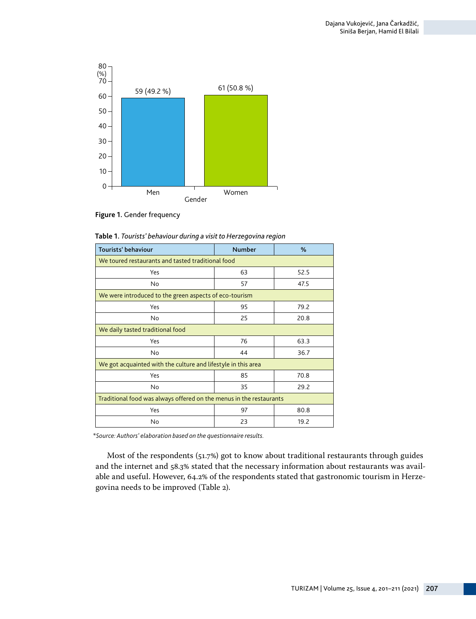

**Figure 1.** Gender frequency

| Tourists' behaviour                                                 | <b>Number</b> | %    |  |  |  |
|---------------------------------------------------------------------|---------------|------|--|--|--|
| We toured restaurants and tasted traditional food                   |               |      |  |  |  |
| Yes                                                                 | 63<br>52.5    |      |  |  |  |
| No                                                                  | 57            | 47.5 |  |  |  |
| We were introduced to the green aspects of eco-tourism              |               |      |  |  |  |
| Yes                                                                 | 95            | 79.2 |  |  |  |
| No                                                                  | 25            | 20.8 |  |  |  |
| We daily tasted traditional food                                    |               |      |  |  |  |
| Yes                                                                 | 76            | 63.3 |  |  |  |
| No                                                                  | 44            | 36.7 |  |  |  |
| We got acquainted with the culture and lifestyle in this area       |               |      |  |  |  |
| Yes                                                                 | 85            | 70.8 |  |  |  |
| No                                                                  | 35            | 29.2 |  |  |  |
| Traditional food was always offered on the menus in the restaurants |               |      |  |  |  |
| Yes                                                                 | 97            | 80.8 |  |  |  |
| No                                                                  | 23            | 19.2 |  |  |  |

**Table 1.** *Tourists' behaviour during a visit to Herzegovina region*

*\*Source: Authors' elaboration based on the questionnaire results.* 

Most of the respondents (51.7%) got to know about traditional restaurants through guides and the internet and 58.3% stated that the necessary information about restaurants was available and useful. However, 64.2% of the respondents stated that gastronomic tourism in Herzegovina needs to be improved (Table 2).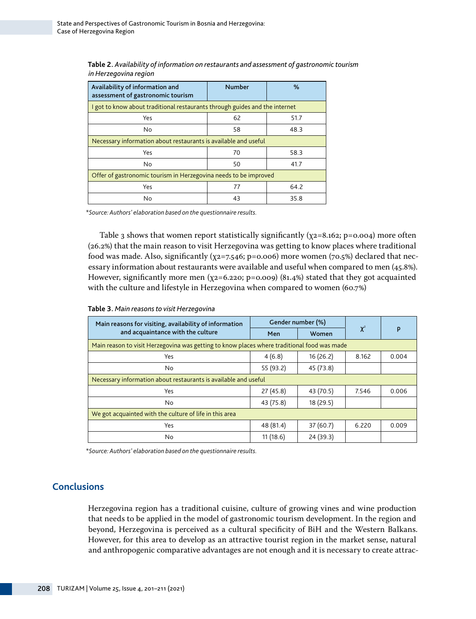| Availability of information and<br>assessment of gastronomic tourism        | <b>Number</b><br>% |      |  |  |  |
|-----------------------------------------------------------------------------|--------------------|------|--|--|--|
| I got to know about traditional restaurants through guides and the internet |                    |      |  |  |  |
| Yes                                                                         | 62                 | 51.7 |  |  |  |
| N <sub>0</sub>                                                              | 58                 | 48.3 |  |  |  |
| Necessary information about restaurants is available and useful             |                    |      |  |  |  |
| Yes                                                                         | 70                 | 58.3 |  |  |  |
| N <sub>0</sub>                                                              | 50                 | 41.7 |  |  |  |
| Offer of gastronomic tourism in Herzegovina needs to be improved            |                    |      |  |  |  |
| Yes                                                                         | 77<br>64.2         |      |  |  |  |
| N <sub>0</sub>                                                              | 43<br>35.8         |      |  |  |  |

**Table 2.** *Availability of information on restaurants and assessment of gastronomic tourism in Herzegovina region*

*\*Source: Authors' elaboration based on the questionnaire results.* 

Table 3 shows that women report statistically significantly  $(\chi_2=8.162; p=0.004)$  more often (26.2%) that the main reason to visit Herzegovina was getting to know places where traditional food was made. Also, significantly ( $\chi$ 2=7.546; p=0.006) more women (70.5%) declared that necessary information about restaurants were available and useful when compared to men (45.8%). However, significantly more men ( $\chi$ 2=6.220; p=0.009) (81.4%) stated that they got acquainted with the culture and lifestyle in Herzegovina when compared to women (60.7%)

| Main reasons for visiting, availability of information<br>and acquaintance with the culture | Gender number (%) |           |          |       |  |  |
|---------------------------------------------------------------------------------------------|-------------------|-----------|----------|-------|--|--|
|                                                                                             | Men               | Women     | $\chi^2$ | P     |  |  |
| Main reason to visit Herzegovina was getting to know places where traditional food was made |                   |           |          |       |  |  |
| Yes                                                                                         | 4(6.8)            | 16(26.2)  | 8.162    | 0.004 |  |  |
| No                                                                                          | 55 (93.2)         | 45 (73.8) |          |       |  |  |
| Necessary information about restaurants is available and useful                             |                   |           |          |       |  |  |
| Yes                                                                                         | 27(45.8)          | 43 (70.5) | 7.546    | 0.006 |  |  |
| No.                                                                                         | 43 (75.8)         | 18 (29.5) |          |       |  |  |
| We got acquainted with the culture of life in this area                                     |                   |           |          |       |  |  |
| Yes                                                                                         | 48 (81.4)         | 37(60.7)  | 6.220    | 0.009 |  |  |
| No                                                                                          | 11(18.6)          | 24(39.3)  |          |       |  |  |

**Table 3.** *Main reasons to visit Herzegovina* 

*\*Source: Authors' elaboration based on the questionnaire results.* 

## **Conclusions**

Herzegovina region has a traditional cuisine, culture of growing vines and wine production that needs to be applied in the model of gastronomic tourism development. In the region and beyond, Herzegovina is perceived as a cultural specificity of BiH and the Western Balkans. However, for this area to develop as an attractive tourist region in the market sense, natural and anthropogenic comparative advantages are not enough and it is necessary to create attrac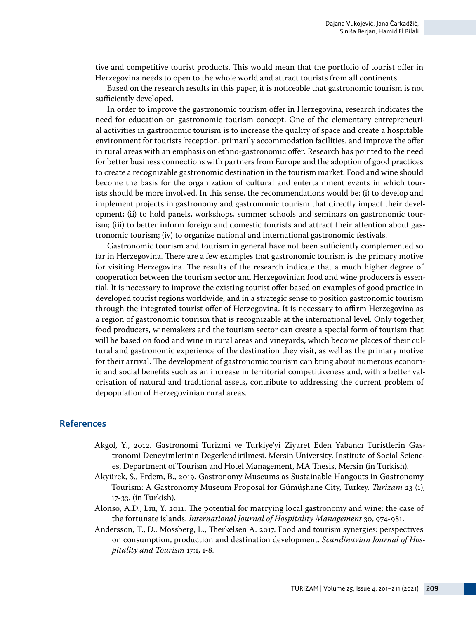tive and competitive tourist products. This would mean that the portfolio of tourist offer in Herzegovina needs to open to the whole world and attract tourists from all continents.

Based on the research results in this paper, it is noticeable that gastronomic tourism is not sufficiently developed.

In order to improve the gastronomic tourism offer in Herzegovina, research indicates the need for education on gastronomic tourism concept. One of the elementary entrepreneurial activities in gastronomic tourism is to increase the quality of space and create a hospitable environment for tourists 'reception, primarily accommodation facilities, and improve the offer in rural areas with an emphasis on ethno-gastronomic offer. Research has pointed to the need for better business connections with partners from Europe and the adoption of good practices to create a recognizable gastronomic destination in the tourism market. Food and wine should become the basis for the organization of cultural and entertainment events in which tourists should be more involved. In this sense, the recommendations would be: (i) to develop and implement projects in gastronomy and gastronomic tourism that directly impact their development; (ii) to hold panels, workshops, summer schools and seminars on gastronomic tourism; (iii) to better inform foreign and domestic tourists and attract their attention about gastronomic tourism; (iv) to organize national and international gastronomic festivals.

Gastronomic tourism and tourism in general have not been sufficiently complemented so far in Herzegovina. There are a few examples that gastronomic tourism is the primary motive for visiting Herzegovina. The results of the research indicate that a much higher degree of cooperation between the tourism sector and Herzegovinian food and wine producers is essential. It is necessary to improve the existing tourist offer based on examples of good practice in developed tourist regions worldwide, and in a strategic sense to position gastronomic tourism through the integrated tourist offer of Herzegovina. It is necessary to affirm Herzegovina as a region of gastronomic tourism that is recognizable at the international level. Only together, food producers, winemakers and the tourism sector can create a special form of tourism that will be based on food and wine in rural areas and vineyards, which become places of their cultural and gastronomic experience of the destination they visit, as well as the primary motive for their arrival. The development of gastronomic tourism can bring about numerous economic and social benefits such as an increase in territorial competitiveness and, with a better valorisation of natural and traditional assets, contribute to addressing the current problem of depopulation of Herzegovinian rural areas.

### **References**

- Akgol, Y., 2012. Gastronomi Turizmi ve Turkiye'yi Ziyaret Eden Yabancı Turistlerin Gastronomi Deneyimlerinin Degerlendirilmesi. Mersin University, Institute of Social Sciences, Department of Tourism and Hotel Management, MA Thesis, Mersin (in Turkish).
- Akyürek, S., Erdem, B., 2019. Gastronomy Museums as Sustainable Hangouts in Gastronomy Tourism: A Gastronomy Museum Proposal for Gümüşhane City, Turkey. *Turizam* 23 (1), 17-33. (in Turkish).
- Alonso, A.D., Liu, Y. 2011. The potential for marrying local gastronomy and wine; the case of the fortunate islands. *International Journal of Hospitality Management* 30, 974-981.
- Andersson, T., D., Mossberg, L., Therkelsen A. 2017. Food and tourism synergies: perspectives on consumption, production and destination development. *Scandinavian Journal of Hospitality and Tourism* 17:1, 1-8.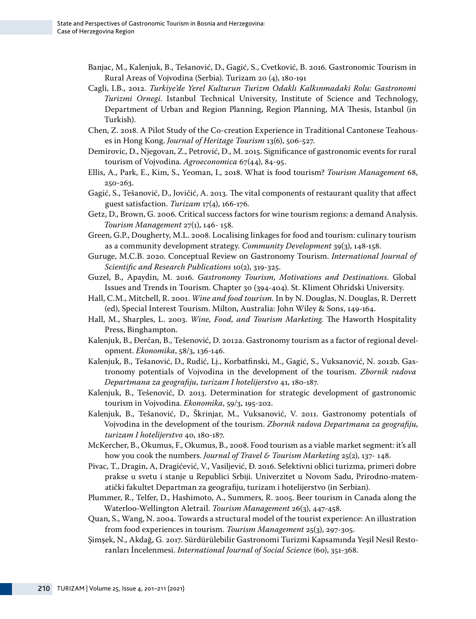- Banjac, M., Kalenjuk, B., Tešanović, D., Gagić, S., Cvetković, B. 2016. Gastronomic Tourism in Rural Areas of Vojvodina (Serbia). Turizam 20 (4), 180-191
- Cagli, I.B., 2012. *Turkiye'de Yerel Kulturun Turizm Odaklı Kalkınmadaki Rolu: Gastronomi Turizmi Ornegi*. Istanbul Technical University, Institute of Science and Technology, Department of Urban and Region Planning, Region Planning, MA Thesis, Istanbul (in Turkish).
- Chen, Z. 2018. A Pilot Study of the Co-creation Experience in Traditional Cantonese Teahouses in Hong Kong. *Journal of Heritage Tourism* 13(6), 506-527.
- Demirovic, D., Njegovan, Z., Petrović, D., M. 2015. Significance of gastronomic events for rural tourism of Vojvodina. *Agroeconomica* 67(44), 84-95.
- Ellis, A., Park, E., Kim, S., Yeoman, I., 2018. What is food tourism? *Tourism Management* 68, 250-263.
- Gagić, S., Tešanović, D., Jovičić, A. 2013. The vital components of restaurant quality that affect guest satisfaction. *Turizam* 17(4), 166-176.
- Getz, D., Brown, G. 2006. Critical success factors for wine tourism regions: a demand Analysis. *Tourism Management* 27(1), 146- 158.
- Green, G.P., Dougherty, M.L. 2008. Localising linkages for food and tourism: culinary tourism as a community development strategy. *Community Development* 39(3), 148-158.
- Guruge, M.C.B. 2020. Conceptual Review on Gastronomy Tourism. *International Journal of Scientific and Research Publications* 10(2), 319-325.
- Guzel, B., Apaydin, M. 2016. *Gastronomy Tourism, Motivations and Destinations.* Global Issues and Trends in Tourism. Chapter 30 (394-404). St. Kliment Ohridski University.
- Hall, C.M., Mitchell, R. 2001. *Wine and food tourism.* In by N. Douglas, N. Douglas, R. Derrett (ed), Special Interest Tourism. Milton, Australia: John Wiley & Sons, 149-164.
- Hall, M., Sharples, L. 2003. *Wine, Food, and Tourism Marketing.* The Haworth Hospitality Press, Binghampton.
- Kalenjuk, B., Đerčan, B., Tešenović, D. 2012a. Gastronomy tourism as a factor of regional development. *Ekonomika*, 58/3, 136-146.
- Kalenjuk, B., Tešanović, D., Rudić, Lj., Korbatfinski, M., Gagić, S., Vuksanović, N. 2012b. Gastronomy potentials of Vojvodina in the development of the tourism. *Zbornik radova Departmana za geografiju, turizam I hotelijerstvo* 41, 180-187.
- Kalenjuk, B., Tešenović, D. 2013. Determination for strategic development of gastronomic tourism in Vojvodina. *Ekonomika*, 59/3, 195-202.
- Kalenjuk, B., Tešanović, D., Škrinjar, M., Vuksanović, V. 2011. Gastronomy potentials of Vojvodina in the development of the tourism. *Zbornik radova Departmana za geografiju, turizam I hotelijerstvo* 40, 180-187.
- McKercher, B., Okumus, F., Okumus, B., 2008. Food tourism as a viable market segment: it's all how you cook the numbers. *Journal of Travel & Tourism Marketing* 25(2), 137- 148.
- Pivac, T., Dragin, A, Dragićević, V., Vasiljević, Đ. 2016. Selektivni oblici turizma, primeri dobre prakse u svetu i stanje u Republici Srbiji. Univerzitet u Novom Sadu, Prirodno-matematički fakultet Departman za geografiju, turizam i hotelijerstvo (in Serbian).
- Plummer, R., Telfer, D., Hashimoto, A., Summers, R. 2005. Beer tourism in Canada along the Waterloo-Wellington Aletrail. *Tourism Management* 26(3), 447-458.
- Quan, S., Wang, N. 2004. Towards a structural model of the tourist experience: An illustration from food experiences in tourism. *Tourism Management* 25(3), 297-305.
- Şimşek, N., Akdağ, G. 2017. Sürdürülebilir Gastronomi Turizmi Kapsamında Yeşil Nesil Restoranları İncelenmesi. *International Journal of Social Science* (60), 351-368.